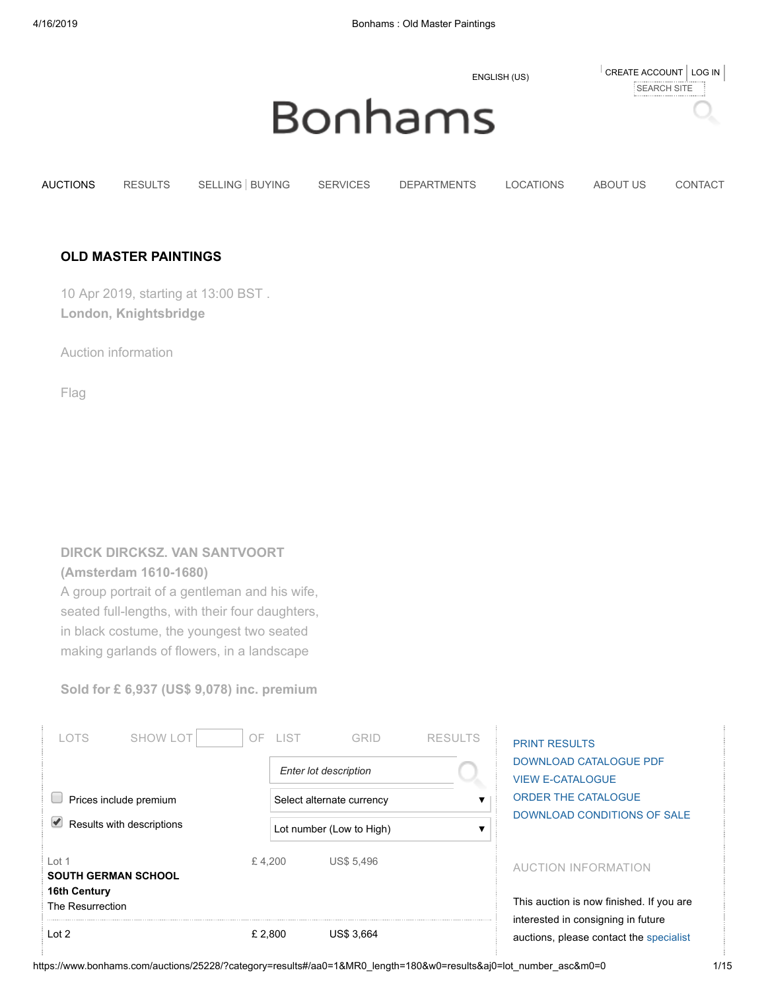ENGLISH (US)

 $\vert$  [CREATE ACCOUNT](https://www.bonhams.com/register/?reg_rtn_path=/auctions/25228/)  $\vert$  [LOG IN](javascript:show_login_module())  $\vert$ SEARCH SITE

# **Bonhams**

| AUCTIONS |  |  | ABOUT US | CONTACT |
|----------|--|--|----------|---------|
|          |  |  |          |         |

### **OLD MASTER PAINTINGS**

10 Apr 2019, starting at 13:00 BST . **[London, Knightsbridge](https://www.bonhams.com/locations/KB/)**

Auction information

Flag

### **DIRCK DIRCKSZ. VAN SANTVOORT**

**(Amsterdam 1610-1680)**

A group portrait of a gentleman and his wife, [seated full-lengths, with their four daughters,](https://www.bonhams.com/auctions/25228/lot/162/) in black costume, the youngest two seated making garlands of flowers, in a landscape

**Sold for £ 6,937 (US\$ 9,078) inc. premium**

| LOTS                         | <b>SHOW LOT</b>            | ΟF      | <b>LIST</b> | GRID<br><b>Enter lot description</b> | <b>RESULTS</b> | <b>PRINT RESULTS</b><br><b>DOWNLOAD CATALOGUE PDF</b><br><b>VIEW E-CATALOGUE</b> |
|------------------------------|----------------------------|---------|-------------|--------------------------------------|----------------|----------------------------------------------------------------------------------|
|                              | Prices include premium     |         |             | Select alternate currency            | ▼              | <b>ORDER THE CATALOGUE</b><br>DOWNLOAD CONDITIONS OF SALE                        |
|                              | Results with descriptions  |         |             | Lot number (Low to High)             | ▼              |                                                                                  |
| Lot 1<br><b>16th Century</b> | <b>SOUTH GERMAN SCHOOL</b> | £4.200  |             | <b>US\$ 5.496</b>                    |                | <b>AUCTION INFORMATION</b>                                                       |
| The Resurrection             |                            |         |             |                                      |                | This auction is now finished. If you are<br>interested in consigning in future   |
| Lot 2                        |                            | £ 2.800 |             | <b>US\$ 3.664</b>                    |                | auctions, please contact the specialist                                          |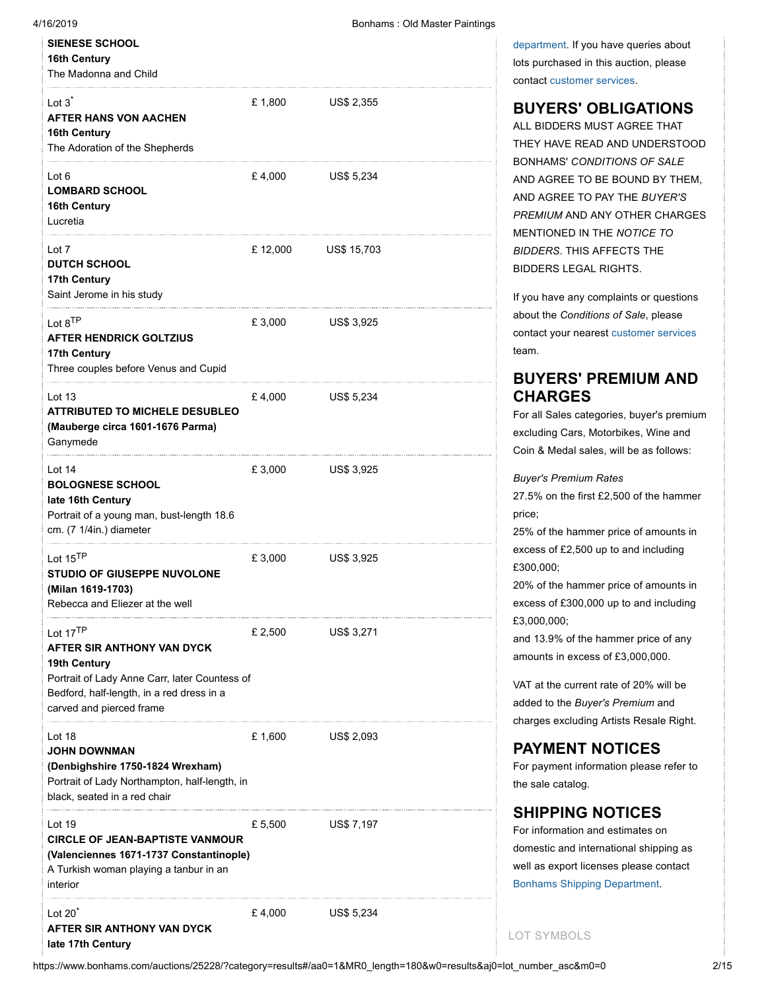| <b>SIENESE SCHOOL</b><br>16th Century<br>The Madonna and Child                                                                                                                               |         |                   |
|----------------------------------------------------------------------------------------------------------------------------------------------------------------------------------------------|---------|-------------------|
| Lot $3^{\degree}$<br><b>AFTER HANS VON AACHEN</b><br><b>16th Century</b><br>The Adoration of the Shepherds                                                                                   | £ 1,800 | US\$ 2,355        |
| Lot 6<br><b>LOMBARD SCHOOL</b><br>16th Century<br>Lucretia                                                                                                                                   | £4,000  | US\$ 5,234        |
| Lot 7<br><b>DUTCH SCHOOL</b><br>17th Century<br>Saint Jerome in his study                                                                                                                    | £12,000 | US\$ 15,703       |
| Lot 8 <sup>TP</sup><br><b>AFTER HENDRICK GOLTZIUS</b><br><b>17th Century</b><br>Three couples before Venus and Cupid                                                                         | £ 3,000 | US\$ 3,925        |
| Lot 13<br><b>ATTRIBUTED TO MICHELE DESUBLEO</b><br>(Mauberge circa 1601-1676 Parma)<br>Ganymede                                                                                              | £ 4,000 | US\$ 5,234        |
| Lot 14<br><b>BOLOGNESE SCHOOL</b><br>late 16th Century<br>Portrait of a young man, bust-length 18.6<br>cm. (7 1/4in.) diameter                                                               | £ 3,000 | <b>US\$ 3,925</b> |
| Lot $15^{TP}$<br><b>STUDIO OF GIUSEPPE NUVOLONE</b><br>(Milan 1619-1703)<br>Rebecca and Eliezer at the well                                                                                  | £3,000  | US\$ 3,925        |
| Lot 17 <sup>TP</sup><br>AFTER SIR ANTHONY VAN DYCK<br>19th Century<br>Portrait of Lady Anne Carr, later Countess of<br>Bedford, half-length, in a red dress in a<br>carved and pierced frame | £ 2,500 | US\$ 3,271        |
| Lot $18$<br><b>JOHN DOWNMAN</b><br>(Denbighshire 1750-1824 Wrexham)<br>Portrait of Lady Northampton, half-length, in<br>black, seated in a red chair                                         | £ 1,600 | US\$ 2,093        |
| Lot 19<br><b>CIRCLE OF JEAN-BAPTISTE VANMOUR</b><br>(Valenciennes 1671-1737 Constantinople)<br>A Turkish woman playing a tanbur in an<br>interior                                            | £ 5,500 | US\$ 7,197        |
| Lot $20^*$<br>AFTER SIR ANTHONY VAN DYCK<br>late 17th Century                                                                                                                                | £ 4,000 | US\$ 5,234        |

[department.](https://www.bonhams.com/departments/PIC-OMP/) If you have queries about lots purchased in this auction, please contact [customer](https://www.bonhams.com/contacts/) services.

# **BUYERS' OBLIGATIONS**

ALL BIDDERS MUST AGREE THAT THEY HAVE READ AND UNDERSTOOD BONHAMS' *CONDITIONS OF SALE* AND AGREE TO BE BOUND BY THEM, AND AGREE TO PAY THE *BUYER'S PREMIUM* AND ANY OTHER CHARGES MENTIONED IN THE *NOTICE TO BIDDERS*. THIS AFFECTS THE BIDDERS LEGAL RIGHTS.

If you have any complaints or questions about the *Conditions of Sale*, please contact your nearest [customer](https://www.bonhams.com/people/#/q0=customer&m0=0) services team.

# **BUYERS' PREMIUM AND CHARGES**

For all Sales categories, buyer's premium excluding Cars, Motorbikes, Wine and Coin & Medal sales, will be as follows:

#### *Buyer's Premium Rates*

27.5% on the first £2,500 of the hammer price;

25% of the hammer price of amounts in excess of £2,500 up to and including £300,000;

20% of the hammer price of amounts in excess of £300,000 up to and including £3,000,000;

and 13.9% of the hammer price of any amounts in excess of £3,000,000.

VAT at the current rate of 20% will be added to the *Buyer's Premium* and charges excluding Artists Resale Right.

# **PAYMENT NOTICES**

For payment information please refer to the sale catalog.

# **SHIPPING NOTICES**

LOT SYMBOLS

For information and estimates on domestic and international shipping as well as export licenses please contact Bonhams Shipping [Department](https://www.bonhams.com/people/#/q0=shipping&m0=0).

https://www.bonhams.com/auctions/25228/?category=results#/aa0=1&MR0\_length=180&w0=results&aj0=lot\_number\_asc&m0=0 2/15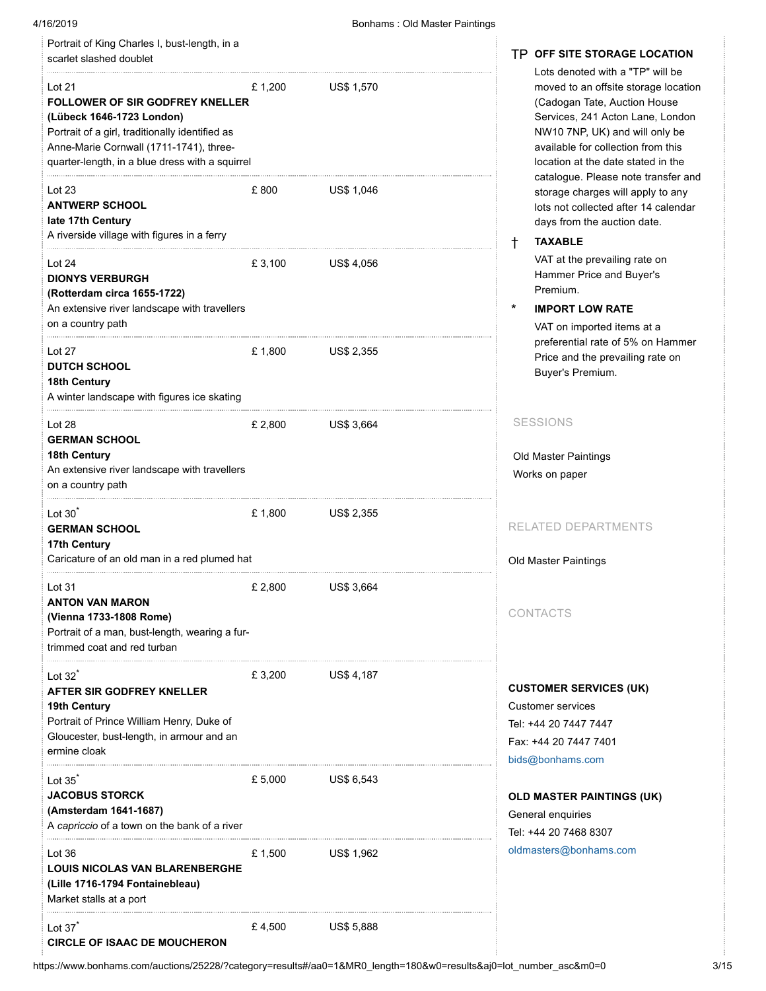| Portrait of King Charles I, bust-length, in a<br>scarlet slashed doublet                                                                                                                                                       |         |                   | TP OI                                                     |
|--------------------------------------------------------------------------------------------------------------------------------------------------------------------------------------------------------------------------------|---------|-------------------|-----------------------------------------------------------|
| Lot 21<br><b>FOLLOWER OF SIR GODFREY KNELLER</b><br>(Lübeck 1646-1723 London)<br>Portrait of a girl, traditionally identified as<br>Anne-Marie Cornwall (1711-1741), three-<br>quarter-length, in a blue dress with a squirrel | £ 1,200 | <b>US\$ 1,570</b> |                                                           |
| Lot $23$<br><b>ANTWERP SCHOOL</b><br>late 17th Century<br>A riverside village with figures in a ferry                                                                                                                          | £ 800   | US\$ 1,046        | t                                                         |
| Lot $24$<br><b>DIONYS VERBURGH</b><br>(Rotterdam circa 1655-1722)<br>An extensive river landscape with travellers<br>on a country path                                                                                         | £ 3,100 | US\$ 4,056        |                                                           |
| Lot $27$<br><b>DUTCH SCHOOL</b><br><b>18th Century</b><br>A winter landscape with figures ice skating                                                                                                                          | £1,800  | US\$ 2,355        |                                                           |
| Lot 28<br><b>GERMAN SCHOOL</b><br>18th Century<br>An extensive river landscape with travellers<br>on a country path                                                                                                            | £ 2,800 | US\$ 3,664        | SESS<br>Old Ma<br>Works                                   |
| Lot $30^*$<br><b>GERMAN SCHOOL</b><br><b>17th Century</b><br>Caricature of an old man in a red plumed hat                                                                                                                      | £1,800  | US\$ 2,355        | <b>RELAT</b><br>Old Mas                                   |
| Lot 31<br><b>ANTON VAN MARON</b><br>(Vienna 1733-1808 Rome)<br>Portrait of a man, bust-length, wearing a fur-<br>trimmed coat and red turban                                                                                   | £ 2,800 | US\$ 3,664        | <b>CONTA</b>                                              |
| Lot $32^{\degree}$<br>AFTER SIR GODFREY KNELLER<br>19th Century<br>Portrait of Prince William Henry, Duke of<br>Gloucester, bust-length, in armour and an<br>ermine cloak                                                      | £ 3,200 | <b>US\$ 4,187</b> | <b>CUSTO</b><br>Custom<br>Tel: +44<br>Fax: $+4$<br>bids@b |
| Lot $35^{\degree}$<br><b>JACOBUS STORCK</b><br>(Amsterdam 1641-1687)<br>A capriccio of a town on the bank of a river                                                                                                           | £ 5,000 | US\$ 6,543        | OLD M/<br>General<br>Tel: +44                             |
| Lot 36<br><b>LOUIS NICOLAS VAN BLARENBERGHE</b><br>(Lille 1716-1794 Fontainebleau)<br>Market stalls at a port                                                                                                                  | £ 1,500 | US\$ 1,962        | oldmast                                                   |
| Lot $37^*$<br><b>CIRCLE OF ISAAC DE MOUCHERON</b>                                                                                                                                                                              | £4,500  | <b>US\$ 5,888</b> |                                                           |

#### TP **OFF SITE STORAGE LOCATION**

ts denoted with a "TP" will be oved to an offsite storage location adogan Tate, Auction House ervices, 241 Acton Lane, London W10 7NP, UK) and will only be railable for collection from this cation at the date stated in the talogue. Please note transfer and orage charges will apply to any ts not collected after 14 calendar ays from the auction date.

### † **TAXABLE**

AT at the prevailing rate on ammer Price and Buyer's emium.

### **IPORT LOW RATE**

AT on imported items at a eferential rate of 5% on Hammer ice and the prevailing rate on uyer's Premium.

#### **SIONS**

aster [Paintings](https://www.bonhams.com/auctions/25228/?section=1) on paper

### **ED DEPARTMENTS**

ster [Paintings](https://www.bonhams.com/departments/PIC-OMP/)

#### **ACTS**

**CUSTOMER SERVICES (UK)** er services 20 7447 7447 4 20 7447 7401 onhams.com

**OLD MASTER PAINTINGS (UK)** enquiries 20 7468 8307 ers@bonhams.com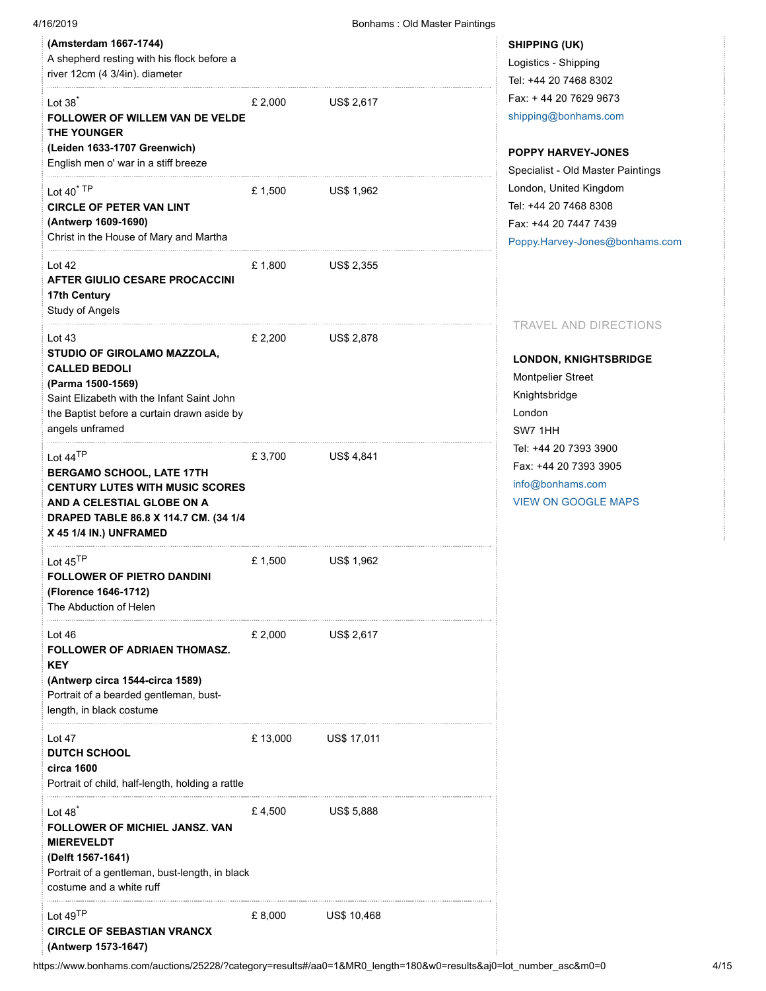### 4/16/2019 Bonhams : Old Master Paintings

| (Amsterdam 1667-1744)<br>A shepherd resting with his flock before a<br>river 12cm (4 3/4in). diameter                                                                                                |         |                   | <b>SHIPPING (UK)</b><br>Logistics - Shipping<br>Tel: +44 20 7468 8302                                                          |
|------------------------------------------------------------------------------------------------------------------------------------------------------------------------------------------------------|---------|-------------------|--------------------------------------------------------------------------------------------------------------------------------|
| Lot $38^{\degree}$<br>FOLLOWER OF WILLEM VAN DE VELDE<br><b>THE YOUNGER</b><br>(Leiden 1633-1707 Greenwich)<br>English men o' war in a stiff breeze                                                  | £ 2.000 | US\$ 2,617        | Fax: +44 20 7629 9673<br>shipping@bonhams.com<br><b>POPPY HARVEY-JONES</b><br>Specialist - Old Master Paintings                |
| Lot $40^*$ TP<br><b>CIRCLE OF PETER VAN LINT</b><br>(Antwerp 1609-1690)<br>Christ in the House of Mary and Martha                                                                                    | £1,500  | US\$ 1,962        | London, United Kingdom<br>Tel: +44 20 7468 8308<br>Fax: +44 20 7447 7439<br>Poppy.Harvey-Jones@bonhams.com                     |
| Lot 42<br>AFTER GIULIO CESARE PROCACCINI<br><b>17th Century</b><br>Study of Angels                                                                                                                   | £1,800  | US\$ 2,355        |                                                                                                                                |
| Lot $43$<br>STUDIO OF GIROLAMO MAZZOLA,<br><b>CALLED BEDOLI</b><br>(Parma 1500-1569)<br>Saint Elizabeth with the Infant Saint John<br>the Baptist before a curtain drawn aside by<br>angels unframed | £ 2,200 | US\$ 2,878        | <b>TRAVEL AND DIRECTIONS</b><br><b>LONDON, KNIGHTSBRIDGE</b><br><b>Montpelier Street</b><br>Knightsbridge<br>London<br>SW7 1HH |
| Lot $44TP$<br>BERGAMO SCHOOL, LATE 17TH<br><b>CENTURY LUTES WITH MUSIC SCORES</b><br>AND A CELESTIAL GLOBE ON A<br>DRAPED TABLE 86.8 X 114.7 CM. (34 1/4<br>X 45 1/4 IN.) UNFRAMED                   | £ 3,700 | US\$ 4,841        | Tel: +44 20 7393 3900<br>Fax: +44 20 7393 3905<br>info@bonhams.com<br><b>VIEW ON GOOGLE MAPS</b>                               |
| Lot $45^{TP}$<br><b>FOLLOWER OF PIETRO DANDINI</b><br>(Florence 1646-1712)<br>The Abduction of Helen                                                                                                 | £1,500  | US\$ 1,962        |                                                                                                                                |
| Lot 46<br><b>FOLLOWER OF ADRIAEN THOMASZ.</b><br><b>KEY</b><br>(Antwerp circa 1544-circa 1589)<br>Portrait of a bearded gentleman, bust-<br>length, in black costume                                 | £ 2,000 | US\$ 2,617        |                                                                                                                                |
| Lot $47$<br><b>DUTCH SCHOOL</b><br>circa 1600<br>Portrait of child, half-length, holding a rattle                                                                                                    | £13,000 | US\$ 17,011       |                                                                                                                                |
| Lot $48^*$<br><b>FOLLOWER OF MICHIEL JANSZ. VAN</b><br><b>MIEREVELDT</b><br>(Delft 1567-1641)<br>Portrait of a gentleman, bust-length, in black<br>costume and a white ruff                          | £4,500  | <b>US\$ 5,888</b> |                                                                                                                                |
| Lot $49TP$<br><b>CIRCLE OF SEBASTIAN VRANCX</b><br>(Antwerp 1573-1647)                                                                                                                               | £8,000  | US\$ 10,468       |                                                                                                                                |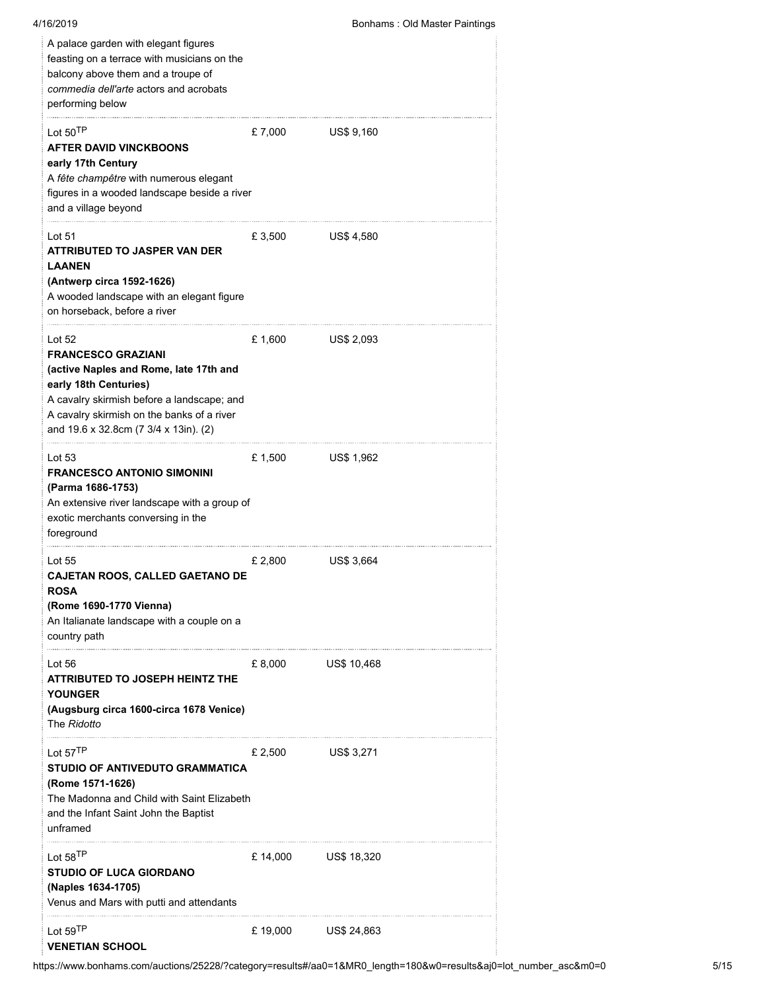| A palace garden with elegant figures<br>feasting on a terrace with musicians on the<br>balcony above them and a troupe of<br>commedia dell'arte actors and acrobats<br>performing below                                                       |          |             |
|-----------------------------------------------------------------------------------------------------------------------------------------------------------------------------------------------------------------------------------------------|----------|-------------|
| Lot $50^{TP}$<br><b>AFTER DAVID VINCKBOONS</b><br>early 17th Century<br>A fête champêtre with numerous elegant<br>figures in a wooded landscape beside a river<br>and a village beyond                                                        | £7,000   | US\$ 9,160  |
| Lot 51<br>ATTRIBUTED TO JASPER VAN DER<br><b>LAANEN</b><br>(Antwerp circa 1592-1626)<br>A wooded landscape with an elegant figure<br>on horseback, before a river                                                                             | £ 3,500  | US\$ 4,580  |
| Lot $52$<br><b>FRANCESCO GRAZIANI</b><br>(active Naples and Rome, late 17th and<br>early 18th Centuries)<br>A cavalry skirmish before a landscape; and<br>A cavalry skirmish on the banks of a river<br>and 19.6 x 32.8cm (7 3/4 x 13in). (2) | £ 1,600  | US\$ 2,093  |
| Lot 53<br><b>FRANCESCO ANTONIO SIMONINI</b><br>(Parma 1686-1753)<br>An extensive river landscape with a group of<br>exotic merchants conversing in the<br>foreground                                                                          | £1,500   | US\$ 1,962  |
| Lot 55<br>CAJETAN ROOS, CALLED GAETANO DE<br>ROSA<br>(Rome 1690-1770 Vienna)<br>An Italianate landscape with a couple on a<br>country path                                                                                                    | £ 2,800  | US\$ 3,664  |
| Lot 56<br><b>ATTRIBUTED TO JOSEPH HEINTZ THE</b><br><b>YOUNGER</b><br>(Augsburg circa 1600-circa 1678 Venice)<br>The Ridotto                                                                                                                  | £8,000   | US\$ 10,468 |
| Lot $57^{TP}$<br>STUDIO OF ANTIVEDUTO GRAMMATICA<br>(Rome 1571-1626)<br>The Madonna and Child with Saint Elizabeth<br>and the Infant Saint John the Baptist<br>unframed                                                                       | £ 2,500  | US\$ 3,271  |
| Lot $58$ <sup>TP</sup><br><b>STUDIO OF LUCA GIORDANO</b><br>(Naples 1634-1705)<br>Venus and Mars with putti and attendants                                                                                                                    | £ 14,000 | US\$ 18,320 |
| Lot 59TP                                                                                                                                                                                                                                      | £19,000  | US\$ 24,863 |

#### **[VENETIAN SCHOOL](https://www.bonhams.com/auctions/25228/lot/59/?category=results&length=180&page=1)**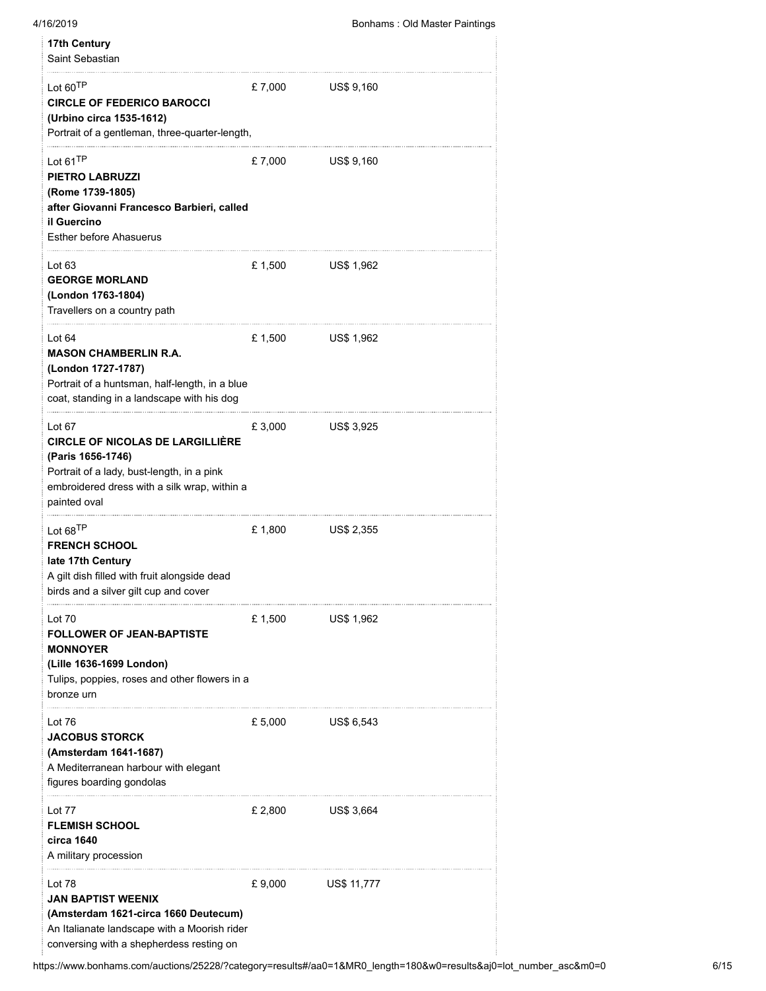| <b>17th Century</b><br>Saint Sebastian                                                                                                                                               |                    |             |
|--------------------------------------------------------------------------------------------------------------------------------------------------------------------------------------|--------------------|-------------|
| Lot 60TP<br><b>CIRCLE OF FEDERICO BAROCCI</b><br>(Urbino circa 1535-1612)<br>Portrait of a gentleman, three-quarter-length,                                                          | £7,000             | US\$ 9,160  |
| Lot $61^{TP}$<br><b>PIETRO LABRUZZI</b><br>(Rome 1739-1805)<br>after Giovanni Francesco Barbieri, called<br>il Guercino<br><b>Esther before Ahasuerus</b>                            | £7,000             | US\$ 9,160  |
| Lot $63$<br><b>GEORGE MORLAND</b><br>(London 1763-1804)<br>Travellers on a country path                                                                                              | £ 1,500            | US\$ 1,962  |
| Lot $64$<br><b>MASON CHAMBERLIN R.A.</b><br>(London 1727-1787)<br>Portrait of a huntsman, half-length, in a blue<br>coat, standing in a landscape with his dog                       | £1,500             | US\$ 1,962  |
| Lot 67<br><b>CIRCLE OF NICOLAS DE LARGILLIÈRE</b><br>(Paris 1656-1746)<br>Portrait of a lady, bust-length, in a pink<br>embroidered dress with a silk wrap, within a<br>painted oval | £ 3,000            | US\$ 3,925  |
| Lot $68$ <sup>TP</sup><br><b>FRENCH SCHOOL</b><br>late 17th Century<br>A gilt dish filled with fruit alongside dead<br>birds and a silver gilt cup and cover                         | £ 1,800            | US\$ 2,355  |
| Lot 70<br><b>FOLLOWER OF JEAN-BAPTISTE</b><br><b>MONNOYER</b><br>(Lille 1636-1699 London)<br>Tulips, poppies, roses and other flowers in a<br>bronze urn                             | £ 1,500            | US\$ 1,962  |
| Lot 76<br><b>JACOBUS STORCK</b><br>(Amsterdam 1641-1687)<br>A Mediterranean harbour with elegant<br>figures boarding gondolas                                                        | £ 5,000 US\$ 6,543 |             |
| Lot 77<br><b>FLEMISH SCHOOL</b><br>circa 1640<br>A military procession                                                                                                               | £ 2,800            | US\$ 3,664  |
| Lot 78<br>JAN BAPTIST WEENIX<br>(Amsterdam 1621-circa 1660 Deutecum)<br>An Italianate landscape with a Moorish rider<br>conversing with a shepherdess resting on                     | £ 9,000            | US\$ 11,777 |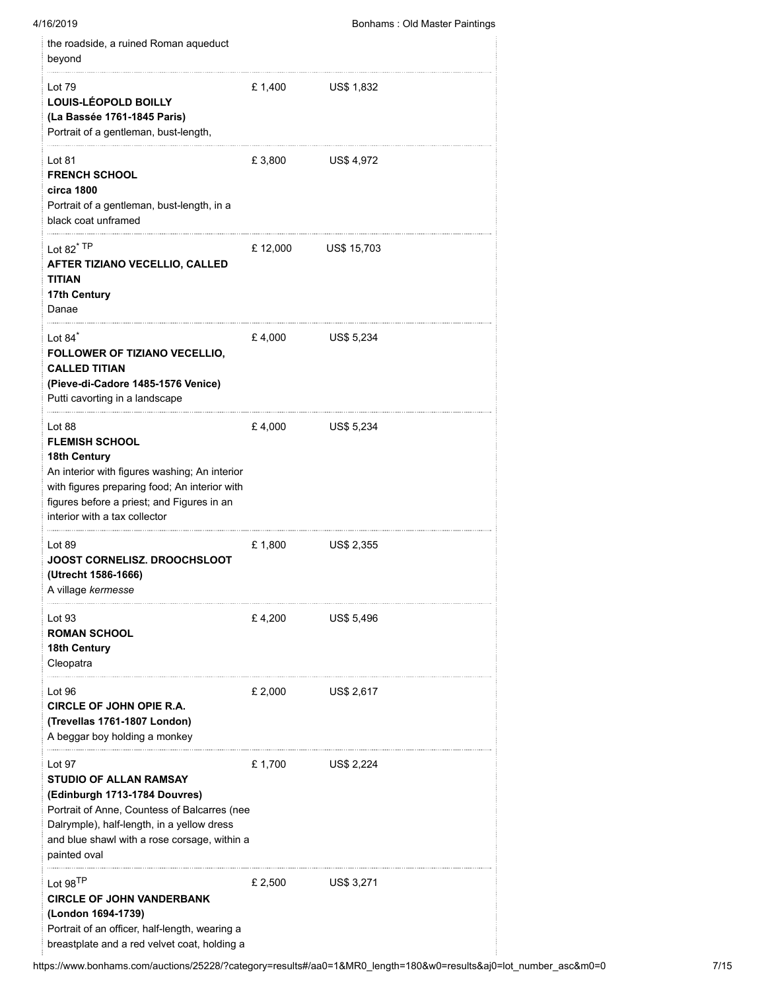| 4/16/2019                                                                                                                                                                                                                               |         | Bonhams: Old Master Paintings |
|-----------------------------------------------------------------------------------------------------------------------------------------------------------------------------------------------------------------------------------------|---------|-------------------------------|
| the roadside, a ruined Roman aqueduct<br>beyond                                                                                                                                                                                         |         |                               |
| Lot 79<br><b>LOUIS-LÉOPOLD BOILLY</b><br>(La Bassée 1761-1845 Paris)<br>Portrait of a gentleman, bust-length,                                                                                                                           | £ 1,400 | US\$ 1,832                    |
| Lot 81<br><b>FRENCH SCHOOL</b><br>circa 1800<br>Portrait of a gentleman, bust-length, in a<br>black coat unframed                                                                                                                       | £ 3,800 | US\$ 4,972                    |
| Lot 82 <sup>* TP</sup><br>AFTER TIZIANO VECELLIO, CALLED<br>TITIAN<br>17th Century<br>Danae                                                                                                                                             | £12,000 | <b>US\$ 15,703</b>            |
| Lot $84^*$<br>FOLLOWER OF TIZIANO VECELLIO,<br><b>CALLED TITIAN</b><br>(Pieve-di-Cadore 1485-1576 Venice)<br>Putti cavorting in a landscape                                                                                             | £4,000  | <b>US\$ 5,234</b>             |
| Lot 88<br><b>FLEMISH SCHOOL</b><br><b>18th Century</b><br>An interior with figures washing; An interior<br>with figures preparing food; An interior with<br>figures before a priest; and Figures in an<br>interior with a tax collector | £4,000  | US\$ 5,234                    |
| Lot 89<br><b>JOOST CORNELISZ. DROOCHSLOOT</b><br>(Utrecht 1586-1666)<br>A village kermesse                                                                                                                                              | £1,800  | US\$ 2,355                    |
| Lot 93<br><b>ROMAN SCHOOL</b><br>18th Century<br>Cleopatra                                                                                                                                                                              | £4,200  | US\$ 5,496                    |
| Lot 96<br><b>CIRCLE OF JOHN OPIE R.A.</b><br>(Trevellas 1761-1807 London)<br>A beggar boy holding a monkey                                                                                                                              | £ 2,000 | US\$ 2,617                    |
| Lot 97<br><b>STUDIO OF ALLAN RAMSAY</b><br>(Edinburgh 1713-1784 Douvres)<br>Portrait of Anne, Countess of Balcarres (nee<br>Dalrymple), half-length, in a yellow dress<br>and blue shawl with a rose corsage, within a<br>painted oval  | £ 1,700 | US\$ 2,224                    |
| Lot $98TP$<br><b>CIRCLE OF JOHN VANDERBANK</b><br>(London 1694-1739)<br>Portrait of an officer, half-length, wearing a                                                                                                                  | £ 2,500 | US\$ 3,271                    |

[breastplate and a red velvet coat, holding a](https://www.bonhams.com/auctions/25228/lot/98/?category=results&length=180&page=1)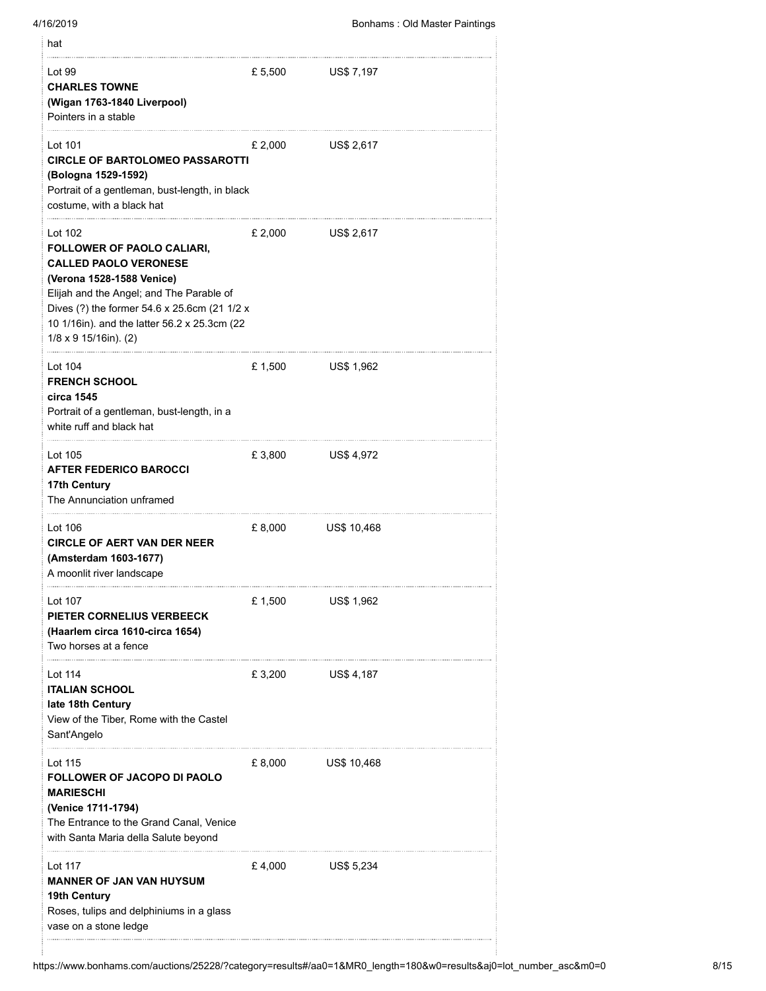| Lot 99<br>£ 5,500<br>US\$ 7,197<br><b>CHARLES TOWNE</b><br>(Wigan 1763-1840 Liverpool)<br>Pointers in a stable<br>Lot 101<br>£ 2,000<br>US\$ 2,617<br><b>CIRCLE OF BARTOLOMEO PASSAROTTI</b><br>(Bologna 1529-1592)<br>Portrait of a gentleman, bust-length, in black<br>costume, with a black hat<br>Lot 102<br>£ 2,000<br>US\$ 2,617<br>FOLLOWER OF PAOLO CALIARI,<br><b>CALLED PAOLO VERONESE</b><br>(Verona 1528-1588 Venice)<br>Elijah and the Angel; and The Parable of<br>Dives (?) the former 54.6 x 25.6cm (21 1/2 x<br>10 1/16in). and the latter 56.2 x 25.3cm (22<br>$1/8 \times 9$ 15/16in). (2)<br>Lot 104<br>£ 1,500<br>US\$ 1,962<br><b>FRENCH SCHOOL</b><br>circa 1545<br>Portrait of a gentleman, bust-length, in a<br>white ruff and black hat<br>Lot 105<br>£3,800<br>US\$ 4,972<br><b>AFTER FEDERICO BAROCCI</b><br>17th Century<br>The Annunciation unframed<br>Lot 106<br>£8,000<br>US\$ 10,468<br><b>CIRCLE OF AERT VAN DER NEER</b><br>(Amsterdam 1603-1677)<br>A moonlit river landscape<br>Lot 107<br>£1,500<br>US\$ 1,962<br>PIETER CORNELIUS VERBEECK<br>(Haarlem circa 1610-circa 1654)<br>Two horses at a fence<br>Lot 114<br>£ 3,200<br><b>US\$ 4,187</b><br><b>ITALIAN SCHOOL</b><br>late 18th Century<br>View of the Tiber, Rome with the Castel<br>Sant'Angelo<br>Lot 115<br>£8,000<br><b>US\$ 10,468</b><br><b>FOLLOWER OF JACOPO DI PAOLO</b><br><b>MARIESCHI</b><br>(Venice 1711-1794)<br>The Entrance to the Grand Canal, Venice<br>with Santa Maria della Salute beyond<br>Lot 117<br>£ 4,000<br>US\$ 5,234<br><b>MANNER OF JAN VAN HUYSUM</b><br><b>19th Century</b><br>Roses, tulips and delphiniums in a glass<br>vase on a stone ledge | hat |  |
|------------------------------------------------------------------------------------------------------------------------------------------------------------------------------------------------------------------------------------------------------------------------------------------------------------------------------------------------------------------------------------------------------------------------------------------------------------------------------------------------------------------------------------------------------------------------------------------------------------------------------------------------------------------------------------------------------------------------------------------------------------------------------------------------------------------------------------------------------------------------------------------------------------------------------------------------------------------------------------------------------------------------------------------------------------------------------------------------------------------------------------------------------------------------------------------------------------------------------------------------------------------------------------------------------------------------------------------------------------------------------------------------------------------------------------------------------------------------------------------------------------------------------------------------------------------------------------------------------------------------------------------------------------------------------------|-----|--|
|                                                                                                                                                                                                                                                                                                                                                                                                                                                                                                                                                                                                                                                                                                                                                                                                                                                                                                                                                                                                                                                                                                                                                                                                                                                                                                                                                                                                                                                                                                                                                                                                                                                                                    |     |  |
|                                                                                                                                                                                                                                                                                                                                                                                                                                                                                                                                                                                                                                                                                                                                                                                                                                                                                                                                                                                                                                                                                                                                                                                                                                                                                                                                                                                                                                                                                                                                                                                                                                                                                    |     |  |
|                                                                                                                                                                                                                                                                                                                                                                                                                                                                                                                                                                                                                                                                                                                                                                                                                                                                                                                                                                                                                                                                                                                                                                                                                                                                                                                                                                                                                                                                                                                                                                                                                                                                                    |     |  |
|                                                                                                                                                                                                                                                                                                                                                                                                                                                                                                                                                                                                                                                                                                                                                                                                                                                                                                                                                                                                                                                                                                                                                                                                                                                                                                                                                                                                                                                                                                                                                                                                                                                                                    |     |  |
|                                                                                                                                                                                                                                                                                                                                                                                                                                                                                                                                                                                                                                                                                                                                                                                                                                                                                                                                                                                                                                                                                                                                                                                                                                                                                                                                                                                                                                                                                                                                                                                                                                                                                    |     |  |
|                                                                                                                                                                                                                                                                                                                                                                                                                                                                                                                                                                                                                                                                                                                                                                                                                                                                                                                                                                                                                                                                                                                                                                                                                                                                                                                                                                                                                                                                                                                                                                                                                                                                                    |     |  |
|                                                                                                                                                                                                                                                                                                                                                                                                                                                                                                                                                                                                                                                                                                                                                                                                                                                                                                                                                                                                                                                                                                                                                                                                                                                                                                                                                                                                                                                                                                                                                                                                                                                                                    |     |  |
|                                                                                                                                                                                                                                                                                                                                                                                                                                                                                                                                                                                                                                                                                                                                                                                                                                                                                                                                                                                                                                                                                                                                                                                                                                                                                                                                                                                                                                                                                                                                                                                                                                                                                    |     |  |
|                                                                                                                                                                                                                                                                                                                                                                                                                                                                                                                                                                                                                                                                                                                                                                                                                                                                                                                                                                                                                                                                                                                                                                                                                                                                                                                                                                                                                                                                                                                                                                                                                                                                                    |     |  |
|                                                                                                                                                                                                                                                                                                                                                                                                                                                                                                                                                                                                                                                                                                                                                                                                                                                                                                                                                                                                                                                                                                                                                                                                                                                                                                                                                                                                                                                                                                                                                                                                                                                                                    |     |  |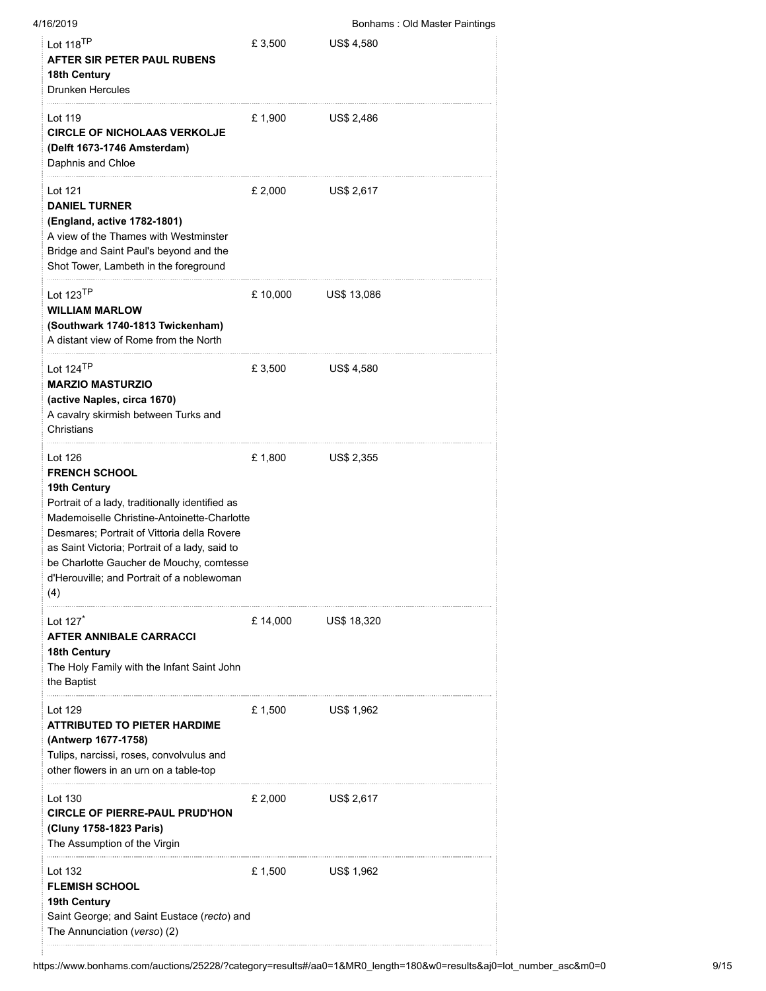| Lot 118 <sup>TP</sup><br>AFTER SIR PETER PAUL RUBENS<br><b>18th Century</b><br><b>Drunken Hercules</b>                                                                                                                                                                                                                                                     | £3,500   | US\$ 4,580         |
|------------------------------------------------------------------------------------------------------------------------------------------------------------------------------------------------------------------------------------------------------------------------------------------------------------------------------------------------------------|----------|--------------------|
| Lot 119<br><b>CIRCLE OF NICHOLAAS VERKOLJE</b><br>(Delft 1673-1746 Amsterdam)<br>Daphnis and Chloe                                                                                                                                                                                                                                                         | £ 1,900  | US\$ 2,486         |
| Lot 121<br><b>DANIEL TURNER</b><br>(England, active 1782-1801)<br>A view of the Thames with Westminster<br>Bridge and Saint Paul's beyond and the<br>Shot Tower, Lambeth in the foreground                                                                                                                                                                 | £ 2,000  | US\$ 2,617         |
| Lot 123TP<br><b>WILLIAM MARLOW</b><br>(Southwark 1740-1813 Twickenham)<br>A distant view of Rome from the North                                                                                                                                                                                                                                            | £10,000  | <b>US\$ 13,086</b> |
| Lot $124$ <sup>TP</sup><br><b>MARZIO MASTURZIO</b><br>(active Naples, circa 1670)<br>A cavalry skirmish between Turks and<br>Christians                                                                                                                                                                                                                    | £ 3,500  | US\$ 4,580         |
| Lot 126<br><b>FRENCH SCHOOL</b><br><b>19th Century</b><br>Portrait of a lady, traditionally identified as<br>Mademoiselle Christine-Antoinette-Charlotte<br>Desmares; Portrait of Vittoria della Rovere<br>as Saint Victoria; Portrait of a lady, said to<br>be Charlotte Gaucher de Mouchy, comtesse<br>d'Herouville; and Portrait of a noblewoman<br>(4) | £1,800   | US\$ 2,355         |
| Lot 127 <sup>*</sup><br><b>AFTER ANNIBALE CARRACCI</b><br><b>18th Century</b><br>The Holy Family with the Infant Saint John<br>the Baptist                                                                                                                                                                                                                 | £ 14,000 | US\$ 18,320        |
| Lot 129<br><b>ATTRIBUTED TO PIETER HARDIME</b><br>(Antwerp 1677-1758)<br>Tulips, narcissi, roses, convolvulus and<br>other flowers in an urn on a table-top                                                                                                                                                                                                | £ 1,500  | US\$ 1,962         |
| Lot 130<br><b>CIRCLE OF PIERRE-PAUL PRUD'HON</b><br>(Cluny 1758-1823 Paris)<br>The Assumption of the Virgin                                                                                                                                                                                                                                                | £ 2,000  | US\$ 2,617         |
| Lot 132<br><b>FLEMISH SCHOOL</b><br><b>19th Century</b><br>Saint George; and Saint Eustace (recto) and<br>The Annunciation (verso) (2)                                                                                                                                                                                                                     | £ 1,500  | US\$ 1,962         |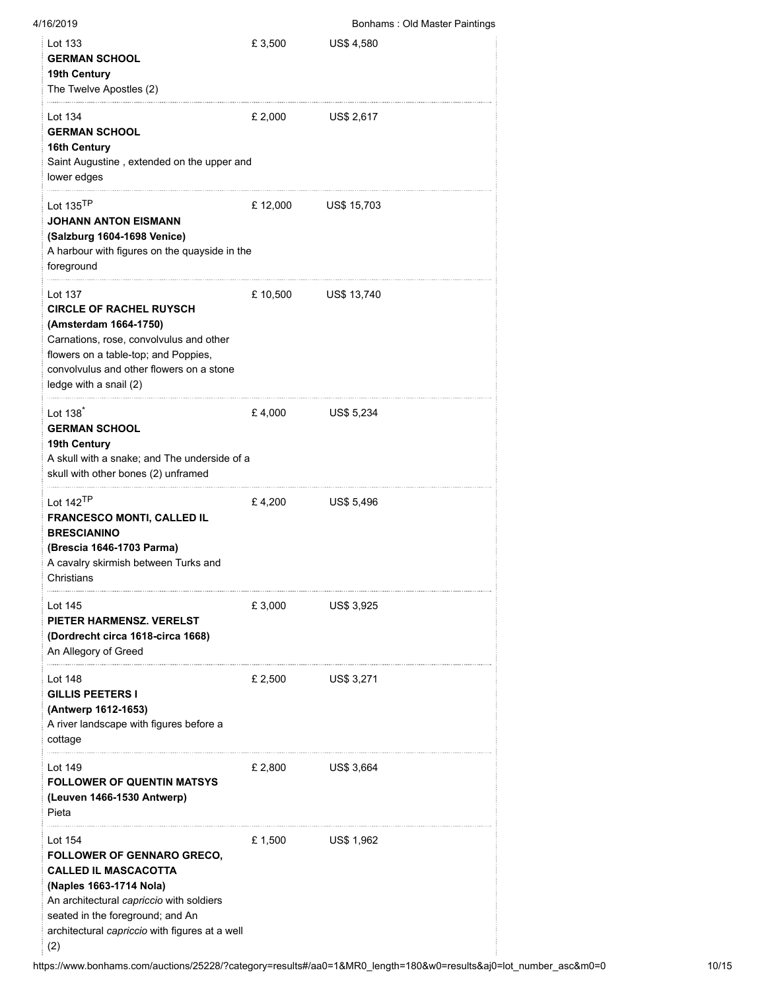| 4/16/2019 |  |
|-----------|--|

| Lot 133<br><b>GERMAN SCHOOL</b><br><b>19th Century</b><br>The Twelve Apostles (2)                                                                                                                                                               | £3,500  | US\$ 4,580  |
|-------------------------------------------------------------------------------------------------------------------------------------------------------------------------------------------------------------------------------------------------|---------|-------------|
| Lot 134<br><b>GERMAN SCHOOL</b><br><b>16th Century</b><br>Saint Augustine, extended on the upper and<br>lower edges                                                                                                                             | £ 2,000 | US\$ 2,617  |
| Lot $135$ <sup>TP</sup><br><b>JOHANN ANTON EISMANN</b><br>(Salzburg 1604-1698 Venice)<br>A harbour with figures on the quayside in the<br>foreground                                                                                            | £12,000 | US\$ 15,703 |
| Lot 137<br><b>CIRCLE OF RACHEL RUYSCH</b><br>(Amsterdam 1664-1750)<br>Carnations, rose, convolvulus and other<br>flowers on a table-top; and Poppies,<br>convolvulus and other flowers on a stone<br>ledge with a snail (2)                     | £10,500 | US\$ 13,740 |
| Lot 138 <sup>*</sup><br><b>GERMAN SCHOOL</b><br>19th Century<br>A skull with a snake; and The underside of a<br>skull with other bones (2) unframed                                                                                             | £4,000  | US\$ 5,234  |
| Lot $142$ <sup>TP</sup><br><b>FRANCESCO MONTI, CALLED IL</b><br><b>BRESCIANINO</b><br>(Brescia 1646-1703 Parma)<br>A cavalry skirmish between Turks and<br>Christians                                                                           | £4,200  | US\$ 5,496  |
| Lot 145<br><b>PIETER HARMENSZ, VERELST</b><br>(Dordrecht circa 1618-circa 1668)<br>An Allegory of Greed                                                                                                                                         | £3,000  | US\$ 3,925  |
| Lot 148<br><b>GILLIS PEETERS I</b><br>(Antwerp 1612-1653)<br>A river landscape with figures before a<br>cottage                                                                                                                                 | £ 2,500 | US\$ 3,271  |
| Lot 149<br><b>FOLLOWER OF QUENTIN MATSYS</b><br>(Leuven 1466-1530 Antwerp)<br>Pieta                                                                                                                                                             | £ 2,800 | US\$ 3,664  |
| Lot 154<br><b>FOLLOWER OF GENNARO GRECO,</b><br><b>CALLED IL MASCACOTTA</b><br>(Naples 1663-1714 Nola)<br>An architectural capriccio with soldiers<br>seated in the foreground; and An<br>architectural capriccio with figures at a well<br>(2) | £1,500  | US\$ 1,962  |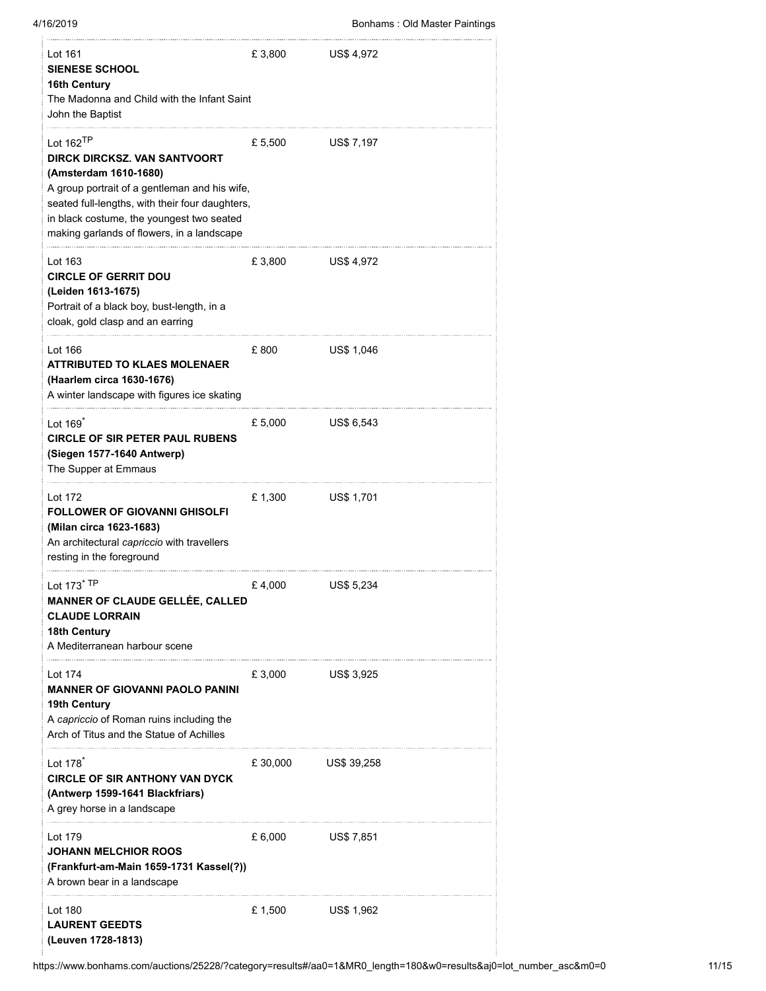| Lot 161<br><b>SIENESE SCHOOL</b><br><b>16th Century</b><br>The Madonna and Child with the Infant Saint<br>John the Baptist                                                                                                                                                             | £3,800   | US\$ 4,972        |
|----------------------------------------------------------------------------------------------------------------------------------------------------------------------------------------------------------------------------------------------------------------------------------------|----------|-------------------|
| Lot $162$ <sup>TP</sup><br><b>DIRCK DIRCKSZ, VAN SANTVOORT</b><br>(Amsterdam 1610-1680)<br>A group portrait of a gentleman and his wife,<br>seated full-lengths, with their four daughters,<br>in black costume, the youngest two seated<br>making garlands of flowers, in a landscape | £ 5,500  | US\$ 7,197        |
| Lot 163<br><b>CIRCLE OF GERRIT DOU</b><br>(Leiden 1613-1675)<br>Portrait of a black boy, bust-length, in a<br>cloak, gold clasp and an earring                                                                                                                                         | £ 3,800  | US\$ 4,972        |
| Lot 166<br>ATTRIBUTED TO KLAES MOLENAER<br>(Haarlem circa 1630-1676)<br>A winter landscape with figures ice skating                                                                                                                                                                    | £ 800    | US\$ 1,046        |
| Lot 169 <sup>*</sup><br><b>CIRCLE OF SIR PETER PAUL RUBENS</b><br>(Siegen 1577-1640 Antwerp)<br>The Supper at Emmaus                                                                                                                                                                   | £ 5,000  | US\$ 6,543        |
| Lot 172<br><b>FOLLOWER OF GIOVANNI GHISOLFI</b><br>(Milan circa 1623-1683)<br>An architectural capriccio with travellers<br>resting in the foreground                                                                                                                                  | £1,300   | US\$ 1,701        |
| Lot 173 <sup>*</sup> TP<br><b>MANNER OF CLAUDE GELLÉE, CALLED</b><br><b>CLAUDE LORRAIN</b><br>18th Century<br>A Mediterranean harbour scene                                                                                                                                            | £4,000   | <b>US\$ 5,234</b> |
| Lot 174<br><b>MANNER OF GIOVANNI PAOLO PANINI</b><br><b>19th Century</b><br>A capriccio of Roman ruins including the<br>Arch of Titus and the Statue of Achilles                                                                                                                       | £ 3,000  | US\$ 3,925        |
| Lot 178 <sup>*</sup><br><b>CIRCLE OF SIR ANTHONY VAN DYCK</b><br>(Antwerp 1599-1641 Blackfriars)<br>A grey horse in a landscape                                                                                                                                                        | £ 30,000 | US\$ 39,258       |
| Lot 179<br><b>JOHANN MELCHIOR ROOS</b><br>(Frankfurt-am-Main 1659-1731 Kassel(?))<br>A brown bear in a landscape                                                                                                                                                                       | £ 6,000  | US\$ 7,851        |
| Lot 180<br><b>LAURENT GEEDTS</b><br>(Leuven 1728-1813)                                                                                                                                                                                                                                 | £ 1,500  | US\$ 1,962        |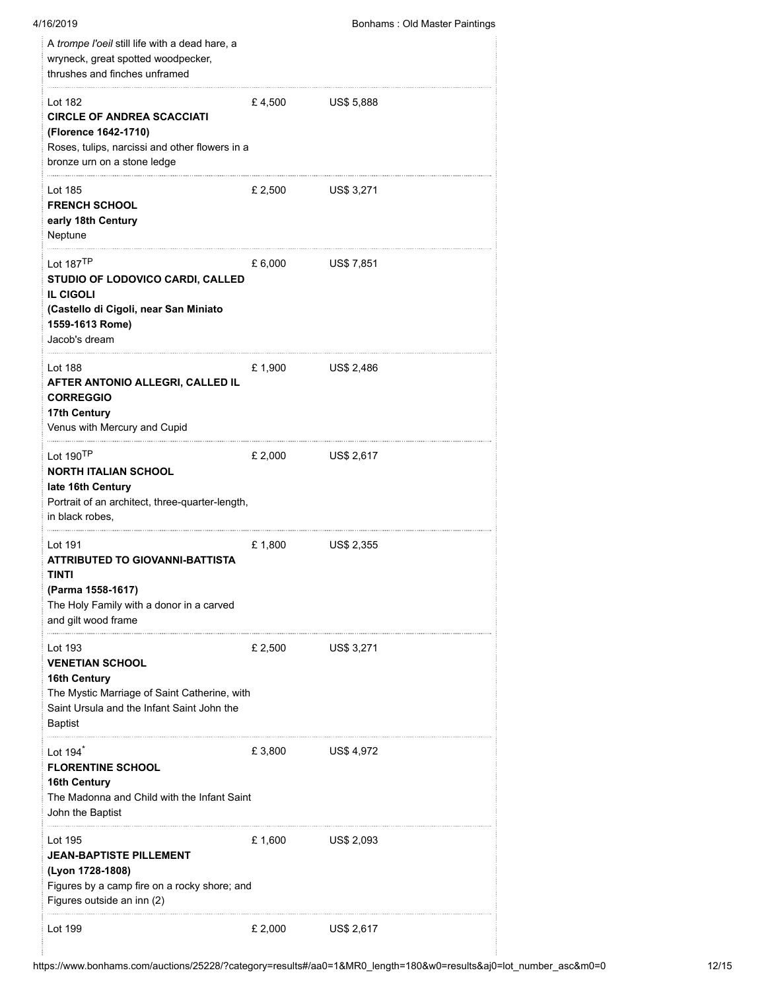| 4/16/2019 |  |
|-----------|--|
|           |  |

| A trompe l'oeil still life with a dead hare, a<br>wryneck, great spotted woodpecker,<br>thrushes and finches unframed                                                    |                    |            |
|--------------------------------------------------------------------------------------------------------------------------------------------------------------------------|--------------------|------------|
| Lot 182<br><b>CIRCLE OF ANDREA SCACCIATI</b><br>(Florence 1642-1710)<br>Roses, tulips, narcissi and other flowers in a<br>bronze urn on a stone ledge                    | £4,500             | US\$ 5,888 |
| Lot 185<br><b>FRENCH SCHOOL</b><br>early 18th Century<br>Neptune                                                                                                         | £ 2,500            | US\$ 3,271 |
| Lot $187$ <sup>TP</sup><br>STUDIO OF LODOVICO CARDI, CALLED<br><b>IL CIGOLI</b><br>(Castello di Cigoli, near San Miniato<br>1559-1613 Rome)<br>Jacob's dream             | £ 6,000            | US\$ 7,851 |
| Lot 188<br>AFTER ANTONIO ALLEGRI, CALLED IL<br><b>CORREGGIO</b><br><b>17th Century</b><br>Venus with Mercury and Cupid                                                   | £ 1,900            | US\$ 2,486 |
| Lot 190TP<br><b>NORTH ITALIAN SCHOOL</b><br>late 16th Century<br>Portrait of an architect, three-quarter-length,<br>in black robes.                                      | £ 2,000            | US\$ 2,617 |
| Lot 191<br>ATTRIBUTED TO GIOVANNI-BATTISTA<br><b>TINTI</b><br>(Parma 1558-1617)<br>The Holy Family with a donor in a carved<br>and gilt wood frame                       | £ 1,800            | US\$ 2,355 |
| Lot 193<br><b>VENETIAN SCHOOL</b><br><b>16th Century</b><br>The Mystic Marriage of Saint Catherine, with<br>Saint Ursula and the Infant Saint John the<br><b>Baptist</b> | £ 2,500            | US\$ 3,271 |
| Lot $1945$<br><b>FLORENTINE SCHOOL</b><br><b>16th Century</b><br>The Madonna and Child with the Infant Saint<br>John the Baptist                                         | £ 3,800            | US\$ 4,972 |
| Lot 195<br><b>JEAN-BAPTISTE PILLEMENT</b><br>(Lyon 1728-1808)<br>Figures by a camp fire on a rocky shore; and<br>Figures outside an inn (2)                              | £ 1,600 US\$ 2,093 |            |
| Lot 199                                                                                                                                                                  | £ 2,000            | US\$ 2,617 |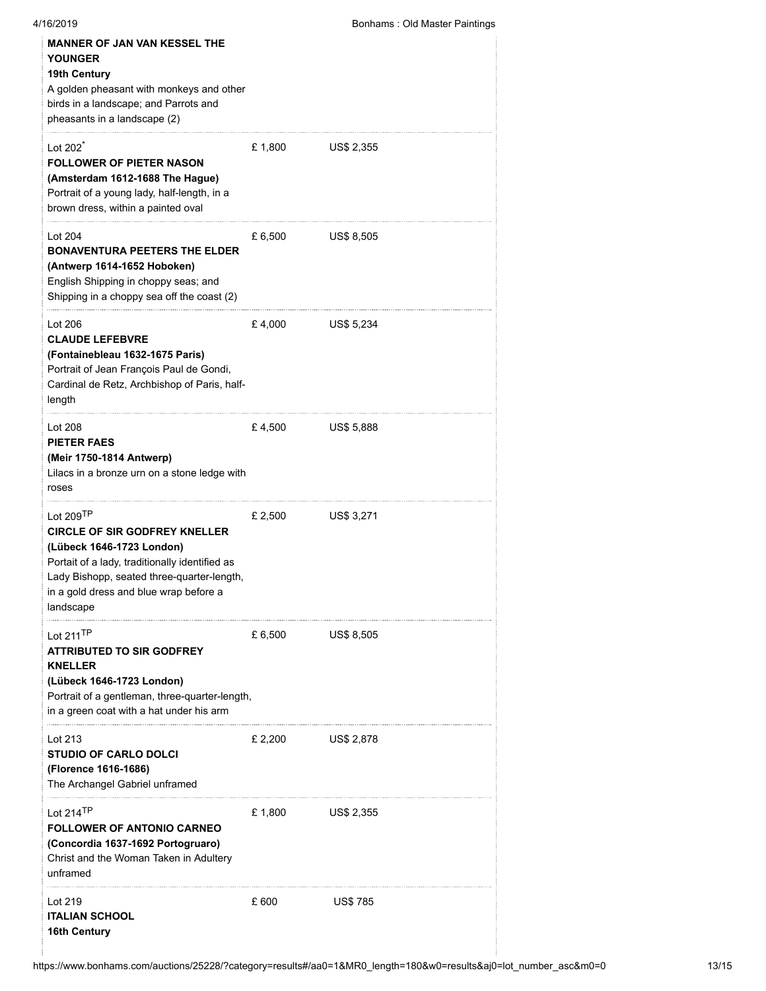| 4/16/2019                                                                                                                                                                                                                                           |         | Bonhams: Old Master Paintings |
|-----------------------------------------------------------------------------------------------------------------------------------------------------------------------------------------------------------------------------------------------------|---------|-------------------------------|
| <b>MANNER OF JAN VAN KESSEL THE</b><br><b>YOUNGER</b><br>19th Century<br>A golden pheasant with monkeys and other<br>birds in a landscape; and Parrots and<br>pheasants in a landscape (2)                                                          |         |                               |
| Lot $202^{\degree}$<br><b>FOLLOWER OF PIETER NASON</b><br>(Amsterdam 1612-1688 The Hague)<br>Portrait of a young lady, half-length, in a<br>brown dress, within a painted oval                                                                      | £1,800  | US\$ 2,355                    |
| Lot 204<br><b>BONAVENTURA PEETERS THE ELDER</b><br>(Antwerp 1614-1652 Hoboken)<br>English Shipping in choppy seas; and<br>Shipping in a choppy sea off the coast (2)                                                                                | £ 6,500 | <b>US\$ 8,505</b>             |
| Lot 206<br><b>CLAUDE LEFEBVRE</b><br>(Fontainebleau 1632-1675 Paris)<br>Portrait of Jean François Paul de Gondi,<br>Cardinal de Retz, Archbishop of Paris, half-<br>length                                                                          | £ 4,000 | US\$ 5,234                    |
| Lot 208<br>PIETER FAES<br>(Meir 1750-1814 Antwerp)<br>Lilacs in a bronze urn on a stone ledge with<br>roses                                                                                                                                         | £4,500  | <b>US\$ 5,888</b>             |
| Lot $209$ <sup>TP</sup><br><b>CIRCLE OF SIR GODFREY KNELLER</b><br>(Lübeck 1646-1723 London)<br>Portait of a lady, traditionally identified as<br>Lady Bishopp, seated three-quarter-length,<br>in a gold dress and blue wrap before a<br>landscape | £ 2,500 | US\$ 3,271                    |
| Lot 211 <sup>TP</sup><br><b>ATTRIBUTED TO SIR GODFREY</b><br><b>KNELLER</b><br>(Lübeck 1646-1723 London)<br>Portrait of a gentleman, three-quarter-length,<br>in a green coat with a hat under his arm                                              | £ 6,500 | US\$ 8,505                    |
| Lot 213<br>STUDIO OF CARLO DOLCI<br>(Florence 1616-1686)<br>The Archangel Gabriel unframed                                                                                                                                                          | £ 2,200 | US\$ 2,878                    |
| Lot $214$ <sup>TP</sup><br><b>FOLLOWER OF ANTONIO CARNEO</b><br>(Concordia 1637-1692 Portogruaro)<br>Christ and the Woman Taken in Adultery<br>unframed                                                                                             | £ 1,800 | US\$ 2,355                    |
| Lot 219<br><b>ITALIAN SCHOOL</b><br>16th Century                                                                                                                                                                                                    | £ 600   | <b>US\$785</b>                |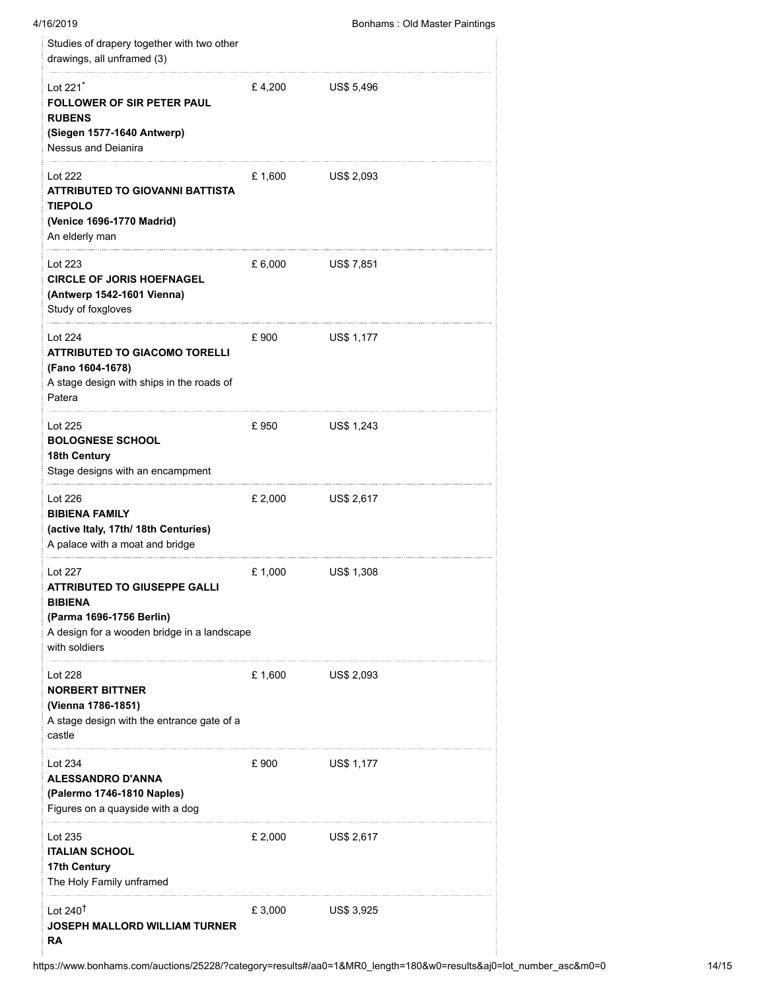| Studies of drapery together with two other<br>drawings, all unframed (3)                                                                              |         |                   |
|-------------------------------------------------------------------------------------------------------------------------------------------------------|---------|-------------------|
| Lot $221^*$<br><b>FOLLOWER OF SIR PETER PAUL</b><br><b>RUBENS</b><br>(Siegen 1577-1640 Antwerp)<br>Nessus and Deianira                                | £4,200  | US\$ 5,496        |
| Lot 222<br>ATTRIBUTED TO GIOVANNI BATTISTA<br><b>TIEPOLO</b><br>(Venice 1696-1770 Madrid)<br>An elderly man                                           | £ 1,600 | US\$ 2,093        |
| Lot 223<br><b>CIRCLE OF JORIS HOEFNAGEL</b><br>(Antwerp 1542-1601 Vienna)<br>Study of foxgloves                                                       | £ 6,000 | US\$ 7,851        |
| Lot 224<br><b>ATTRIBUTED TO GIACOMO TORELLI</b><br>(Fano 1604-1678)<br>A stage design with ships in the roads of<br>Patera                            | £900    | US\$ 1,177        |
| Lot 225<br><b>BOLOGNESE SCHOOL</b><br>18th Century<br>Stage designs with an encampment                                                                | £ 950   | US\$ 1,243        |
| Lot 226<br><b>BIBIENA FAMILY</b><br>(active Italy, 17th/ 18th Centuries)<br>A palace with a moat and bridge                                           | £ 2,000 | US\$ 2,617        |
| Lot 227<br>ATTRIBUTED TO GIUSEPPE GALLI<br><b>BIBIENA</b><br>(Parma 1696-1756 Berlin)<br>A design for a wooden bridge in a landscape<br>with soldiers | £1,000  | <b>US\$ 1,308</b> |
| Lot 228<br><b>NORBERT BITTNER</b><br>(Vienna 1786-1851)<br>A stage design with the entrance gate of a<br>castle                                       | £ 1,600 | US\$ 2,093        |
| Lot 234<br><b>ALESSANDRO D'ANNA</b><br>(Palermo 1746-1810 Naples)<br>Figures on a quayside with a dog                                                 | £900    | US\$ 1,177        |
| Lot 235<br><b>ITALIAN SCHOOL</b><br><b>17th Century</b><br>The Holy Family unframed                                                                   | £ 2,000 | US\$ 2,617        |
| Lot $240^{\dagger}$<br>JOSEPH MALLORD WILLIAM TURNER<br>RA                                                                                            | £ 3,000 | US\$ 3,925        |